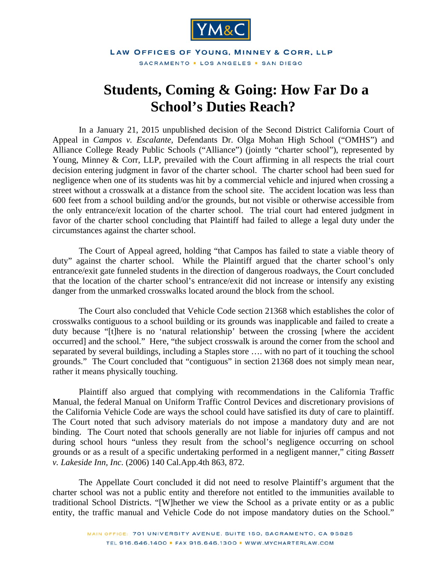

LAW OFFICES OF YOUNG, MINNEY & CORR, LLP SACRAMENTO . LOS ANGELES . SAN DIEGO

## **Students, Coming & Going: How Far Do a School's Duties Reach?**

In a January 21, 2015 unpublished decision of the Second District California Court of Appeal in *Campos v. Escalante*, Defendants Dr. Olga Mohan High School ("OMHS") and Alliance College Ready Public Schools ("Alliance") (jointly "charter school"), represented by Young, Minney & Corr, LLP, prevailed with the Court affirming in all respects the trial court decision entering judgment in favor of the charter school. The charter school had been sued for negligence when one of its students was hit by a commercial vehicle and injured when crossing a street without a crosswalk at a distance from the school site. The accident location was less than 600 feet from a school building and/or the grounds, but not visible or otherwise accessible from the only entrance/exit location of the charter school. The trial court had entered judgment in favor of the charter school concluding that Plaintiff had failed to allege a legal duty under the circumstances against the charter school.

The Court of Appeal agreed, holding "that Campos has failed to state a viable theory of duty" against the charter school. While the Plaintiff argued that the charter school's only entrance/exit gate funneled students in the direction of dangerous roadways, the Court concluded that the location of the charter school's entrance/exit did not increase or intensify any existing danger from the unmarked crosswalks located around the block from the school.

The Court also concluded that Vehicle Code section 21368 which establishes the color of crosswalks contiguous to a school building or its grounds was inapplicable and failed to create a duty because "[t]here is no 'natural relationship' between the crossing [where the accident occurred] and the school." Here, "the subject crosswalk is around the corner from the school and separated by several buildings, including a Staples store …. with no part of it touching the school grounds." The Court concluded that "contiguous" in section 21368 does not simply mean near, rather it means physically touching.

Plaintiff also argued that complying with recommendations in the California Traffic Manual, the federal Manual on Uniform Traffic Control Devices and discretionary provisions of the California Vehicle Code are ways the school could have satisfied its duty of care to plaintiff. The Court noted that such advisory materials do not impose a mandatory duty and are not binding. The Court noted that schools generally are not liable for injuries off campus and not during school hours "unless they result from the school's negligence occurring on school grounds or as a result of a specific undertaking performed in a negligent manner," citing *Bassett v. Lakeside Inn, Inc.* (2006) 140 Cal.App.4th 863, 872.

The Appellate Court concluded it did not need to resolve Plaintiff's argument that the charter school was not a public entity and therefore not entitled to the immunities available to traditional School Districts. "[W]hether we view the School as a private entity or as a public entity, the traffic manual and Vehicle Code do not impose mandatory duties on the School."